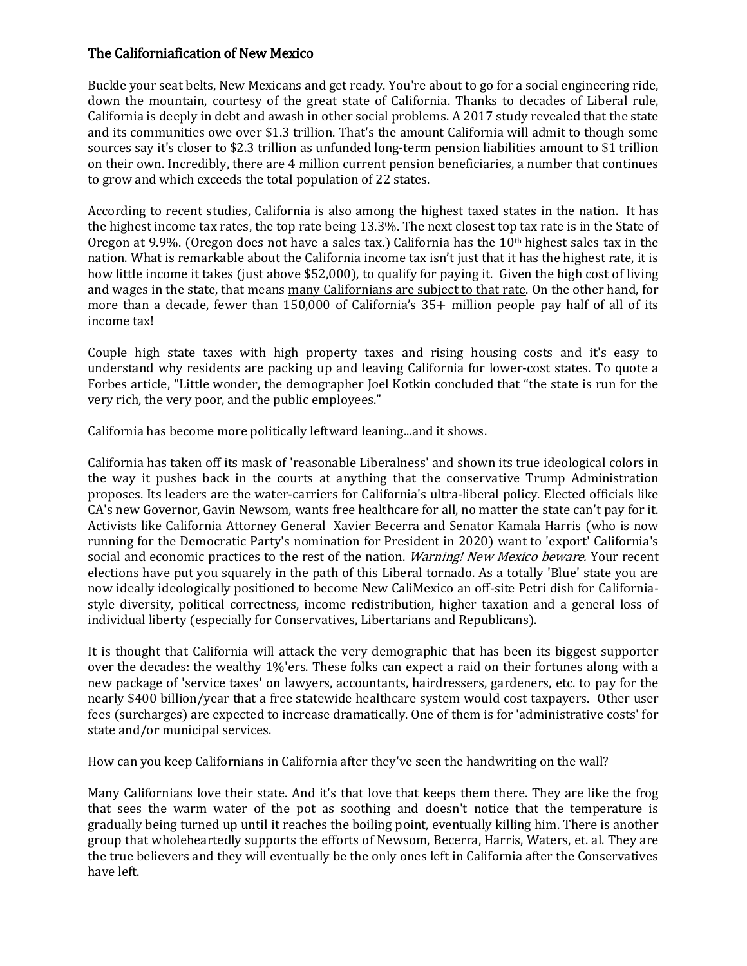## The Californiafication of New Mexico

Buckle your seat belts, New Mexicans and get ready. You're about to go for a social engineering ride, down the mountain, courtesy of the great state of California. Thanks to decades of Liberal rule, California is deeply in debt and awash in other social problems. A 2017 study revealed that the state and its communities owe over \$1.3 trillion. That's the amount California will admit to though some sources say it's closer to \$2.3 trillion as unfunded long-term pension liabilities amount to \$1 trillion on their own. Incredibly, there are 4 million current pension beneficiaries, a number that continues to grow and which exceeds the total population of 22 states.

According to recent studies, California is also among the highest taxed states in the nation. It has the highest income tax rates, the top rate being 13.3%. The next closest top tax rate is in the State of Oregon at 9.9%. (Oregon does not have a sales tax.) California has the  $10<sup>th</sup>$  highest sales tax in the nation. What is remarkable about the California income tax isn't just that it has the highest rate, it is how little income it takes (just above \$52,000), to qualify for paying it. Given the high cost of living and wages in the state, that means many Californians are subject to that rate. On the other hand, for more than a decade, fewer than 150,000 of California's 35+ million people pay half of all of its income tax!

Couple high state taxes with high property taxes and rising housing costs and it's easy to understand why residents are packing up and leaving California for lower-cost states. To quote a Forbes article, "Little wonder, the demographer Joel Kotkin concluded that "the state is run for the very rich, the very poor, and the public employees."

California has become more politically leftward leaning...and it shows.

California has taken off its mask of 'reasonable Liberalness' and shown its true ideological colors in the way it pushes back in the courts at anything that the conservative Trump Administration proposes. Its leaders are the water-carriers for California's ultra-liberal policy. Elected officials like CA's new Governor, Gavin Newsom, wants free healthcare for all, no matter the state can't pay for it. Activists like California Attorney General Xavier Becerra and Senator Kamala Harris (who is now running for the Democratic Party's nomination for President in 2020) want to 'export' California's social and economic practices to the rest of the nation. Warning! New Mexico beware. Your recent elections have put you squarely in the path of this Liberal tornado. As a totally 'Blue' state you are now ideally ideologically positioned to become New CaliMexico an off-site Petri dish for Californiastyle diversity, political correctness, income redistribution, higher taxation and a general loss of individual liberty (especially for Conservatives, Libertarians and Republicans).

It is thought that California will attack the very demographic that has been its biggest supporter over the decades: the wealthy 1%'ers. These folks can expect a raid on their fortunes along with a new package of 'service taxes' on lawyers, accountants, hairdressers, gardeners, etc. to pay for the nearly \$400 billion/year that a free statewide healthcare system would cost taxpayers. Other user fees (surcharges) are expected to increase dramatically. One of them is for 'administrative costs' for state and/or municipal services.

How can you keep Californians in California after they've seen the handwriting on the wall?

Many Californians love their state. And it's that love that keeps them there. They are like the frog that sees the warm water of the pot as soothing and doesn't notice that the temperature is gradually being turned up until it reaches the boiling point, eventually killing him. There is another group that wholeheartedly supports the efforts of Newsom, Becerra, Harris, Waters, et. al. They are the true believers and they will eventually be the only ones left in California after the Conservatives have left.